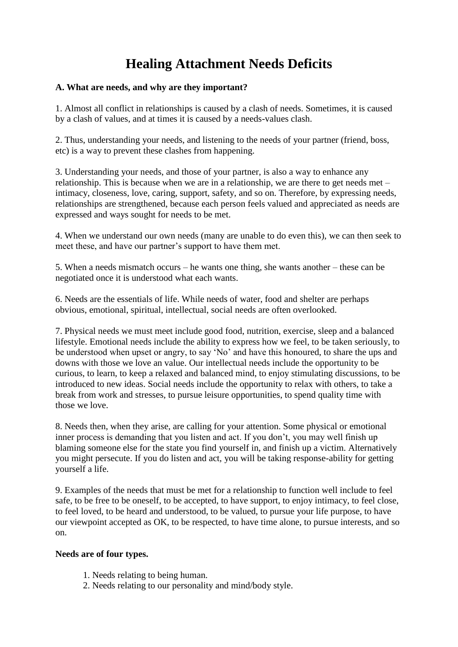# **Healing Attachment Needs Deficits**

#### **A. What are needs, and why are they important?**

1. Almost all conflict in relationships is caused by a clash of needs. Sometimes, it is caused by a clash of values, and at times it is caused by a needs-values clash.

2. Thus, understanding your needs, and listening to the needs of your partner (friend, boss, etc) is a way to prevent these clashes from happening.

3. Understanding your needs, and those of your partner, is also a way to enhance any relationship. This is because when we are in a relationship, we are there to get needs met – intimacy, closeness, love, caring, support, safety, and so on. Therefore, by expressing needs, relationships are strengthened, because each person feels valued and appreciated as needs are expressed and ways sought for needs to be met.

4. When we understand our own needs (many are unable to do even this), we can then seek to meet these, and have our partner's support to have them met.

5. When a needs mismatch occurs – he wants one thing, she wants another – these can be negotiated once it is understood what each wants.

6. Needs are the essentials of life. While needs of water, food and shelter are perhaps obvious, emotional, spiritual, intellectual, social needs are often overlooked.

7. Physical needs we must meet include good food, nutrition, exercise, sleep and a balanced lifestyle. Emotional needs include the ability to express how we feel, to be taken seriously, to be understood when upset or angry, to say "No" and have this honoured, to share the ups and downs with those we love an value. Our intellectual needs include the opportunity to be curious, to learn, to keep a relaxed and balanced mind, to enjoy stimulating discussions, to be introduced to new ideas. Social needs include the opportunity to relax with others, to take a break from work and stresses, to pursue leisure opportunities, to spend quality time with those we love.

8. Needs then, when they arise, are calling for your attention. Some physical or emotional inner process is demanding that you listen and act. If you don't, you may well finish up blaming someone else for the state you find yourself in, and finish up a victim. Alternatively you might persecute. If you do listen and act, you will be taking response-ability for getting yourself a life.

9. Examples of the needs that must be met for a relationship to function well include to feel safe, to be free to be oneself, to be accepted, to have support, to enjoy intimacy, to feel close, to feel loved, to be heard and understood, to be valued, to pursue your life purpose, to have our viewpoint accepted as OK, to be respected, to have time alone, to pursue interests, and so on.

#### **Needs are of four types.**

- 1. Needs relating to being human.
- 2. Needs relating to our personality and mind/body style.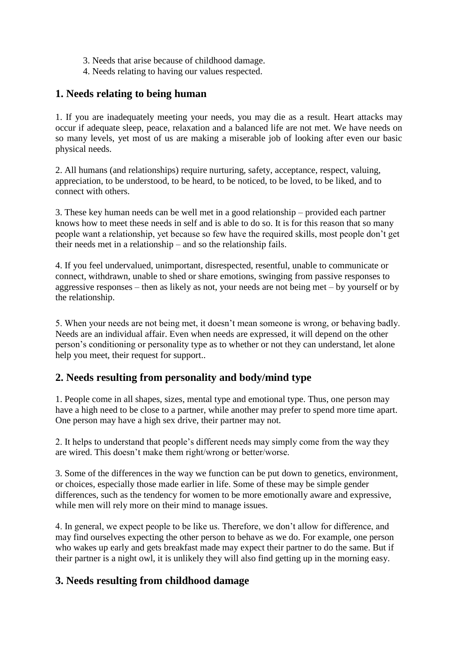- 3. Needs that arise because of childhood damage.
- 4. Needs relating to having our values respected.

# **1. Needs relating to being human**

1. If you are inadequately meeting your needs, you may die as a result. Heart attacks may occur if adequate sleep, peace, relaxation and a balanced life are not met. We have needs on so many levels, yet most of us are making a miserable job of looking after even our basic physical needs.

2. All humans (and relationships) require nurturing, safety, acceptance, respect, valuing, appreciation, to be understood, to be heard, to be noticed, to be loved, to be liked, and to connect with others.

3. These key human needs can be well met in a good relationship – provided each partner knows how to meet these needs in self and is able to do so. It is for this reason that so many people want a relationship, yet because so few have the required skills, most people don"t get their needs met in a relationship – and so the relationship fails.

4. If you feel undervalued, unimportant, disrespected, resentful, unable to communicate or connect, withdrawn, unable to shed or share emotions, swinging from passive responses to aggressive responses – then as likely as not, your needs are not being met – by yourself or by the relationship.

5. When your needs are not being met, it doesn"t mean someone is wrong, or behaving badly. Needs are an individual affair. Even when needs are expressed, it will depend on the other person"s conditioning or personality type as to whether or not they can understand, let alone help you meet, their request for support..

# **2. Needs resulting from personality and body/mind type**

1. People come in all shapes, sizes, mental type and emotional type. Thus, one person may have a high need to be close to a partner, while another may prefer to spend more time apart. One person may have a high sex drive, their partner may not.

2. It helps to understand that people"s different needs may simply come from the way they are wired. This doesn"t make them right/wrong or better/worse.

3. Some of the differences in the way we function can be put down to genetics, environment, or choices, especially those made earlier in life. Some of these may be simple gender differences, such as the tendency for women to be more emotionally aware and expressive, while men will rely more on their mind to manage issues.

4. In general, we expect people to be like us. Therefore, we don"t allow for difference, and may find ourselves expecting the other person to behave as we do. For example, one person who wakes up early and gets breakfast made may expect their partner to do the same. But if their partner is a night owl, it is unlikely they will also find getting up in the morning easy.

# **3. Needs resulting from childhood damage**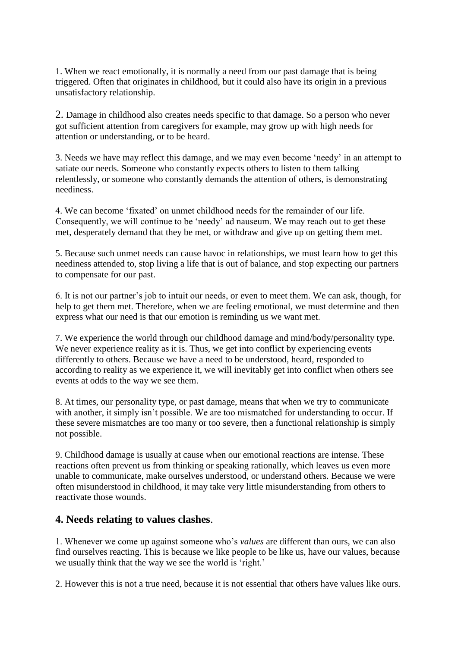1. When we react emotionally, it is normally a need from our past damage that is being triggered. Often that originates in childhood, but it could also have its origin in a previous unsatisfactory relationship.

2. Damage in childhood also creates needs specific to that damage. So a person who never got sufficient attention from caregivers for example, may grow up with high needs for attention or understanding, or to be heard.

3. Needs we have may reflect this damage, and we may even become "needy" in an attempt to satiate our needs. Someone who constantly expects others to listen to them talking relentlessly, or someone who constantly demands the attention of others, is demonstrating neediness.

4. We can become "fixated" on unmet childhood needs for the remainder of our life. Consequently, we will continue to be "needy" ad nauseum. We may reach out to get these met, desperately demand that they be met, or withdraw and give up on getting them met.

5. Because such unmet needs can cause havoc in relationships, we must learn how to get this neediness attended to, stop living a life that is out of balance, and stop expecting our partners to compensate for our past.

6. It is not our partner"s job to intuit our needs, or even to meet them. We can ask, though, for help to get them met. Therefore, when we are feeling emotional, we must determine and then express what our need is that our emotion is reminding us we want met.

7. We experience the world through our childhood damage and mind/body/personality type. We never experience reality as it is. Thus, we get into conflict by experiencing events differently to others. Because we have a need to be understood, heard, responded to according to reality as we experience it, we will inevitably get into conflict when others see events at odds to the way we see them.

8. At times, our personality type, or past damage, means that when we try to communicate with another, it simply isn't possible. We are too mismatched for understanding to occur. If these severe mismatches are too many or too severe, then a functional relationship is simply not possible.

9. Childhood damage is usually at cause when our emotional reactions are intense. These reactions often prevent us from thinking or speaking rationally, which leaves us even more unable to communicate, make ourselves understood, or understand others. Because we were often misunderstood in childhood, it may take very little misunderstanding from others to reactivate those wounds.

#### **4. Needs relating to values clashes**.

1. Whenever we come up against someone who"s *values* are different than ours, we can also find ourselves reacting. This is because we like people to be like us, have our values, because we usually think that the way we see the world is 'right.'

2. However this is not a true need, because it is not essential that others have values like ours.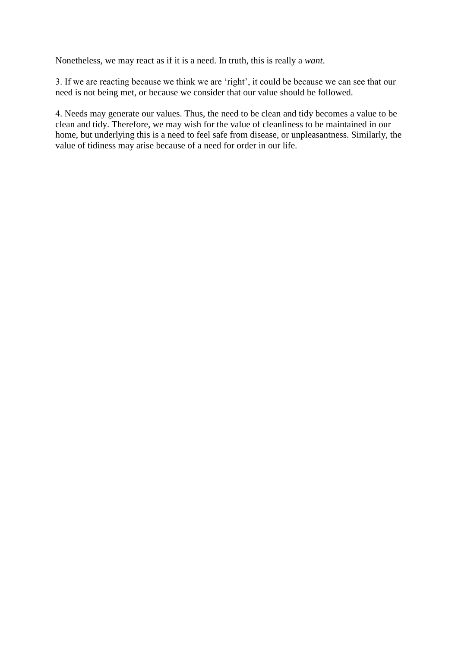Nonetheless, we may react as if it is a need. In truth, this is really a *want*.

3. If we are reacting because we think we are "right", it could be because we can see that our need is not being met, or because we consider that our value should be followed.

4. Needs may generate our values. Thus, the need to be clean and tidy becomes a value to be clean and tidy. Therefore, we may wish for the value of cleanliness to be maintained in our home, but underlying this is a need to feel safe from disease, or unpleasantness. Similarly, the value of tidiness may arise because of a need for order in our life.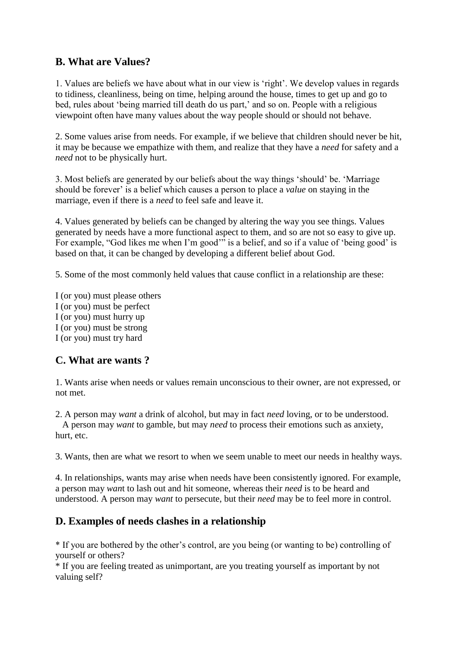# **B. What are Values?**

1. Values are beliefs we have about what in our view is "right". We develop values in regards to tidiness, cleanliness, being on time, helping around the house, times to get up and go to bed, rules about 'being married till death do us part,' and so on. People with a religious viewpoint often have many values about the way people should or should not behave.

2. Some values arise from needs. For example, if we believe that children should never be hit, it may be because we empathize with them, and realize that they have a *need* for safety and a *need* not to be physically hurt.

3. Most beliefs are generated by our beliefs about the way things "should" be. "Marriage should be forever" is a belief which causes a person to place a *value* on staying in the marriage, even if there is a *need* to feel safe and leave it.

4. Values generated by beliefs can be changed by altering the way you see things. Values generated by needs have a more functional aspect to them, and so are not so easy to give up. For example, "God likes me when I'm good" is a belief, and so if a value of 'being good' is based on that, it can be changed by developing a different belief about God.

5. Some of the most commonly held values that cause conflict in a relationship are these:

I (or you) must please others I (or you) must be perfect I (or you) must hurry up I (or you) must be strong I (or you) must try hard

# **C. What are wants ?**

1. Wants arise when needs or values remain unconscious to their owner, are not expressed, or not met.

2. A person may *want* a drink of alcohol, but may in fact *need* loving, or to be understood. A person may *want* to gamble, but may *need* to process their emotions such as anxiety, hurt, etc.

3. Wants, then are what we resort to when we seem unable to meet our needs in healthy ways.

4. In relationships, wants may arise when needs have been consistently ignored. For example, a person may *wan*t to lash out and hit someone, whereas their *need* is to be heard and understood. A person may *want* to persecute, but their *need* may be to feel more in control.

# **D. Examples of needs clashes in a relationship**

\* If you are bothered by the other"s control, are you being (or wanting to be) controlling of yourself or others?

\* If you are feeling treated as unimportant, are you treating yourself as important by not valuing self?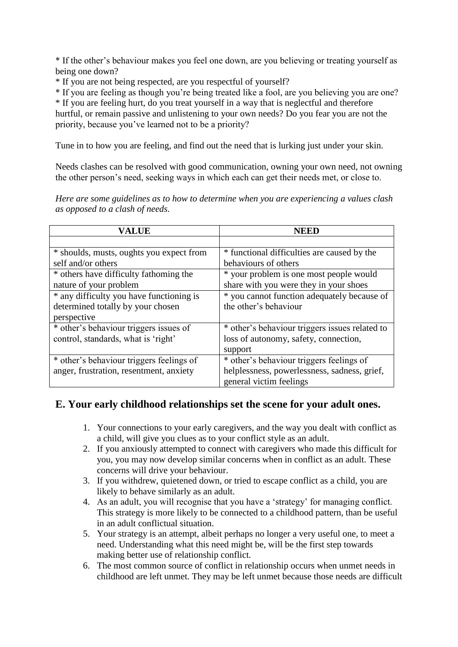\* If the other"s behaviour makes you feel one down, are you believing or treating yourself as being one down?

\* If you are not being respected, are you respectful of yourself?

\* If you are feeling as though you"re being treated like a fool, are you believing you are one?

\* If you are feeling hurt, do you treat yourself in a way that is neglectful and therefore

hurtful, or remain passive and unlistening to your own needs? Do you fear you are not the priority, because you"ve learned not to be a priority?

Tune in to how you are feeling, and find out the need that is lurking just under your skin.

Needs clashes can be resolved with good communication, owning your own need, not owning the other person"s need, seeking ways in which each can get their needs met, or close to.

*Here are some guidelines as to how to determine when you are experiencing a values clash as opposed to a clash of needs.*

| <b>VALUE</b>                             | NEED                                           |
|------------------------------------------|------------------------------------------------|
|                                          |                                                |
| * shoulds, musts, oughts you expect from | * functional difficulties are caused by the    |
| self and/or others                       | behaviours of others                           |
| * others have difficulty fathoming the   | * your problem is one most people would        |
| nature of your problem                   | share with you were they in your shoes         |
| * any difficulty you have functioning is | * you cannot function adequately because of    |
| determined totally by your chosen        | the other's behaviour                          |
| perspective                              |                                                |
| * other's behaviour triggers issues of   | * other's behaviour triggers issues related to |
| control, standards, what is 'right'      | loss of autonomy, safety, connection,          |
|                                          | support                                        |
| * other's behaviour triggers feelings of | * other's behaviour triggers feelings of       |
| anger, frustration, resentment, anxiety  | helplessness, powerlessness, sadness, grief,   |
|                                          | general victim feelings                        |

#### **E. Your early childhood relationships set the scene for your adult ones.**

- 1. Your connections to your early caregivers, and the way you dealt with conflict as a child, will give you clues as to your conflict style as an adult.
- 2. If you anxiously attempted to connect with caregivers who made this difficult for you, you may now develop similar concerns when in conflict as an adult. These concerns will drive your behaviour.
- 3. If you withdrew, quietened down, or tried to escape conflict as a child, you are likely to behave similarly as an adult.
- 4. As an adult, you will recognise that you have a "strategy" for managing conflict. This strategy is more likely to be connected to a childhood pattern, than be useful in an adult conflictual situation.
- 5. Your strategy is an attempt, albeit perhaps no longer a very useful one, to meet a need. Understanding what this need might be, will be the first step towards making better use of relationship conflict.
- 6. The most common source of conflict in relationship occurs when unmet needs in childhood are left unmet. They may be left unmet because those needs are difficult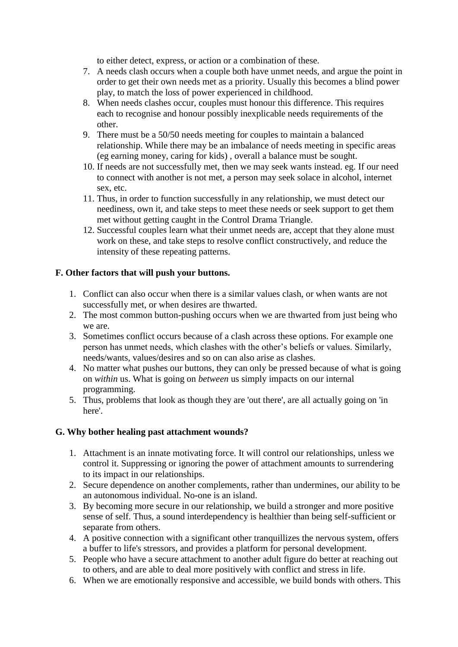to either detect, express, or action or a combination of these.

- 7. A needs clash occurs when a couple both have unmet needs, and argue the point in order to get their own needs met as a priority. Usually this becomes a blind power play, to match the loss of power experienced in childhood.
- 8. When needs clashes occur, couples must honour this difference. This requires each to recognise and honour possibly inexplicable needs requirements of the other.
- 9. There must be a 50/50 needs meeting for couples to maintain a balanced relationship. While there may be an imbalance of needs meeting in specific areas (eg earning money, caring for kids) , overall a balance must be sought.
- 10. If needs are not successfully met, then we may seek wants instead. eg. If our need to connect with another is not met, a person may seek solace in alcohol, internet sex, etc.
- 11. Thus, in order to function successfully in any relationship, we must detect our neediness, own it, and take steps to meet these needs or seek support to get them met without getting caught in the Control Drama Triangle.
- 12. Successful couples learn what their unmet needs are, accept that they alone must work on these, and take steps to resolve conflict constructively, and reduce the intensity of these repeating patterns.

#### **F. Other factors that will push your buttons.**

- 1. Conflict can also occur when there is a similar values clash, or when wants are not successfully met, or when desires are thwarted.
- 2. The most common button-pushing occurs when we are thwarted from just being who we are.
- 3. Sometimes conflict occurs because of a clash across these options. For example one person has unmet needs, which clashes with the other"s beliefs or values. Similarly, needs/wants, values/desires and so on can also arise as clashes.
- 4. No matter what pushes our buttons, they can only be pressed because of what is going on *within* us. What is going on *between* us simply impacts on our internal programming.
- 5. Thus, problems that look as though they are 'out there', are all actually going on 'in here'.

#### **G. Why bother healing past attachment wounds?**

- 1. Attachment is an innate motivating force. It will control our relationships, unless we control it. Suppressing or ignoring the power of attachment amounts to surrendering to its impact in our relationships.
- 2. Secure dependence on another complements, rather than undermines, our ability to be an autonomous individual. No-one is an island.
- 3. By becoming more secure in our relationship, we build a stronger and more positive sense of self. Thus, a sound interdependency is healthier than being self-sufficient or separate from others.
- 4. A positive connection with a significant other tranquillizes the nervous system, offers a buffer to life's stressors, and provides a platform for personal development.
- 5. People who have a secure attachment to another adult figure do better at reaching out to others, and are able to deal more positively with conflict and stress in life.
- 6. When we are emotionally responsive and accessible, we build bonds with others. This